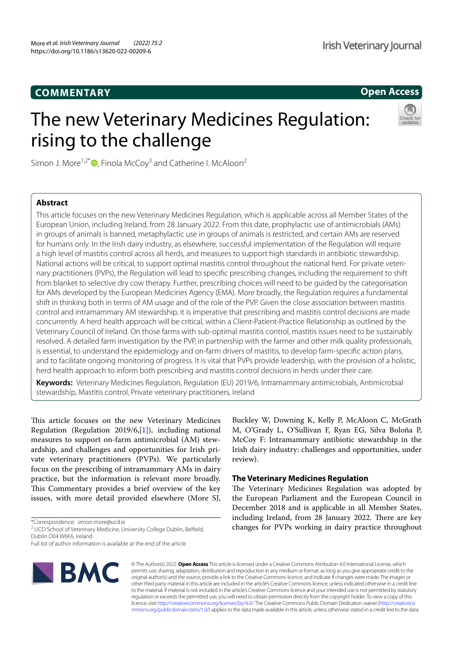## **COMMENTARY**

## **Open Access**

# The new Veterinary Medicines Regulation: rising to the challenge



Simon J. More<sup>1,2\*</sup> $\bullet$ , Finola McCoy<sup>3</sup> and Catherine I. McAloon<sup>2</sup>

## **Abstract**

This article focuses on the new Veterinary Medicines Regulation, which is applicable across all Member States of the European Union, including Ireland, from 28 January 2022. From this date, prophylactic use of antimicrobials (AMs) in groups of animals is banned, metaphylactic use in groups of animals is restricted, and certain AMs are reserved for humans only. In the Irish dairy industry, as elsewhere, successful implementation of the Regulation will require a high level of mastitis control across all herds, and measures to support high standards in antibiotic stewardship. National actions will be critical, to support optimal mastitis control throughout the national herd. For private veterinary practitioners (PVPs), the Regulation will lead to specific prescribing changes, including the requirement to shift from blanket to selective dry cow therapy. Further, prescribing choices will need to be guided by the categorisation for AMs developed by the European Medicines Agency (EMA). More broadly, the Regulation requires a fundamental shift in thinking both in terms of AM usage and of the role of the PVP. Given the close association between mastitis control and intramammary AM stewardship, it is imperative that prescribing and mastitis control decisions are made concurrently. A herd health approach will be critical, within a Client-Patient-Practice Relationship as outlined by the Veterinary Council of Ireland. On those farms with sub-optimal mastitis control, mastitis issues need to be sustainably resolved. A detailed farm investigation by the PVP, in partnership with the farmer and other milk quality professionals, is essential, to understand the epidemiology and on-farm drivers of mastitis, to develop farm-specific action plans, and to facilitate ongoing monitoring of progress. It is vital that PVPs provide leadership, with the provision of a holistic, herd health approach to inform both prescribing and mastitis control decisions in herds under their care.

**Keywords:** Veterinary Medicines Regulation, Regulation (EU) 2019/6, Intramammary antimicrobials, Antimicrobial stewardship, Mastitis control, Private veterinary practitioners, Ireland

This article focuses on the new Veterinary Medicines Regulation (Regulation 2019/6,[1]), including national measures to support on-farm antimicrobial (AM) stewardship, and challenges and opportunities for Irish private veterinary practitioners (PVPs). We particularly focus on the prescribing of intramammary AMs in dairy practice, but the information is relevant more broadly. This Commentary provides a brief overview of the key issues, with more detail provided elsewhere (More SJ,

\*Correspondence: simon.more@ucd.ie

Full list of author information is available at the end of the article



Buckley W, Downing K, Kelly P, McAloon C, McGrath M, O'Grady L, O'Sullivan F, Ryan EG, Silva Boloña P, McCoy F: Intramammary antibiotic stewardship in the Irish dairy industry: challenges and opportunities, under review).

## **The Veterinary Medicines Regulation**

The Veterinary Medicines Regulation was adopted by the European Parliament and the European Council in December 2018 and is applicable in all Member States, including Ireland, from 28 January 2022. There are key changes for PVPs working in dairy practice throughout

© The Author(s) 2022. **Open Access** This article is licensed under a Creative Commons Attribution 4.0 International License, which permits use, sharing, adaptation, distribution and reproduction in any medium or format, as long as you give appropriate credit to the original author(s) and the source, provide a link to the Creative Commons licence, and indicate if changes were made. The images or other third party material in this article are included in the article's Creative Commons licence, unless indicated otherwise in a credit line to the material. If material is not included in the article's Creative Commons licence and your intended use is not permitted by statutory regulation or exceeds the permitted use, you will need to obtain permission directly from the copyright holder. To view a copy of this licence, visit http://creativecommons.org/licenses/by/4.0/. The Creative Commons Public Domain Dedication waiver (http://creativeco mmons.org/publicdomain/zero/1.0/) applies to the data made available in this article, unless otherwise stated in a credit line to the data.

<sup>&</sup>lt;sup>2</sup> UCD School of Veterinary Medicine, University College Dublin, Belfield, Dublin D04 W6F6, Ireland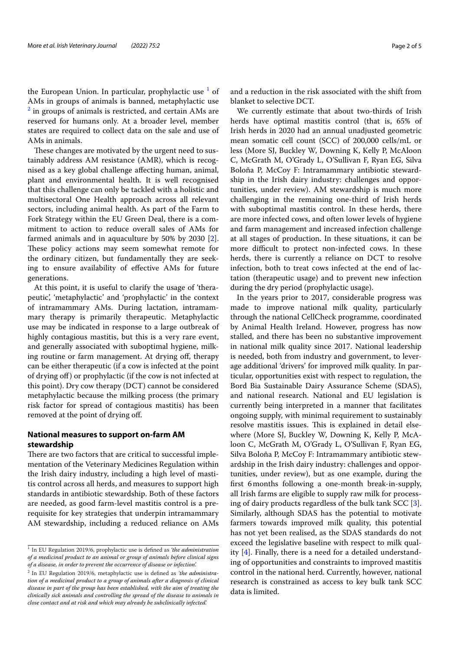the European Union. In particular, prophylactic use <sup>1</sup> of AMs in groups of animals is banned, metaphylactic use <sup>2</sup> in groups of animals is restricted, and certain AMs are reserved for humans only. At a broader level, member states are required to collect data on the sale and use of AMs in animals.

These changes are motivated by the urgent need to sustainably address AM resistance (AMR), which is recognised as a key global challenge affecting human, animal, plant and environmental health. It is well recognised that this challenge can only be tackled with a holistic and multisectoral One Health approach across all relevant sectors, including animal health. As part of the Farm to Fork Strategy within the EU Green Deal, there is a commitment to action to reduce overall sales of AMs for farmed animals and in aquaculture by 50% by 2030 [2]. These policy actions may seem somewhat remote for the ordinary citizen, but fundamentally they are seeking to ensure availability of effective AMs for future generations.

At this point, it is useful to clarify the usage of 'therapeutic', 'metaphylactic' and 'prophylactic' in the context of intramammary AMs. During lactation, intramammary therapy is primarily therapeutic. Metaphylactic use may be indicated in response to a large outbreak of highly contagious mastitis, but this is a very rare event, and generally associated with suboptimal hygiene, milking routine or farm management. At drying off, therapy can be either therapeutic (if a cow is infected at the point of drying off) or prophylactic (if the cow is not infected at this point). Dry cow therapy (DCT) cannot be considered metaphylactic because the milking process (the primary risk factor for spread of contagious mastitis) has been removed at the point of drying off.

## **National measures to support on‑farm AM stewardship**

There are two factors that are critical to successful implementation of the Veterinary Medicines Regulation within the Irish dairy industry, including a high level of mastitis control across all herds, and measures to support high standards in antibiotic stewardship. Both of these factors are needed, as good farm-level mastitis control is a prerequisite for key strategies that underpin intramammary AM stewardship, including a reduced reliance on AMs and a reduction in the risk associated with the shift from blanket to selective DCT.

We currently estimate that about two-thirds of Irish herds have optimal mastitis control (that is, 65% of Irish herds in 2020 had an annual unadjusted geometric mean somatic cell count (SCC) of 200,000 cells/mL or less (More SJ, Buckley W, Downing K, Kelly P, McAloon C, McGrath M, O'Grady L, O'Sullivan F, Ryan EG, Silva Boloña P, McCoy F: Intramammary antibiotic stewardship in the Irish dairy industry: challenges and opportunities, under review). AM stewardship is much more challenging in the remaining one-third of Irish herds with suboptimal mastitis control. In these herds, there are more infected cows, and often lower levels of hygiene and farm management and increased infection challenge at all stages of production. In these situations, it can be more difficult to protect non-infected cows. In these herds, there is currently a reliance on DCT to resolve infection, both to treat cows infected at the end of lactation (therapeutic usage) and to prevent new infection during the dry period (prophylactic usage).

In the years prior to 2017, considerable progress was made to improve national milk quality, particularly through the national CellCheck programme, coordinated by Animal Health Ireland. However, progress has now stalled, and there has been no substantive improvement in national milk quality since 2017. National leadership is needed, both from industry and government, to leverage additional 'drivers' for improved milk quality. In particular, opportunities exist with respect to regulation, the Bord Bia Sustainable Dairy Assurance Scheme (SDAS), and national research. National and EU legislation is currently being interpreted in a manner that facilitates ongoing supply, with minimal requirement to sustainably resolve mastitis issues. This is explained in detail elsewhere (More SJ, Buckley W, Downing K, Kelly P, McAloon C, McGrath M, O'Grady L, O'Sullivan F, Ryan EG, Silva Boloña P, McCoy F: Intramammary antibiotic stewardship in the Irish dairy industry: challenges and opportunities, under review), but as one example, during the first 6months following a one-month break-in-supply, all Irish farms are eligible to supply raw milk for processing of dairy products regardless of the bulk tank SCC [3]. Similarly, although SDAS has the potential to motivate farmers towards improved milk quality, this potential has not yet been realised, as the SDAS standards do not exceed the legislative baseline with respect to milk quality [4]. Finally, there is a need for a detailed understanding of opportunities and constraints to improved mastitis control in the national herd. Currently, however, national research is constrained as access to key bulk tank SCC data is limited.

<sup>1</sup> In EU Regulation 2019/6, prophylactic use is defined as *'the administration of a medicinal product to an animal or group of animals before clinical signs of a disease, in order to prevent the occurrence of disease or infection'.*

<sup>2</sup> In EU Regulation 2019/6, metaphylactic use is defined as *'the administration of a medicinal product to a group of animals after a diagnosis of clinical disease in part of the group has been established, with the aim of treating the clinically sick animals and controlling the spread of the disease to animals in close contact and at risk and which may already be subclinically infected'.*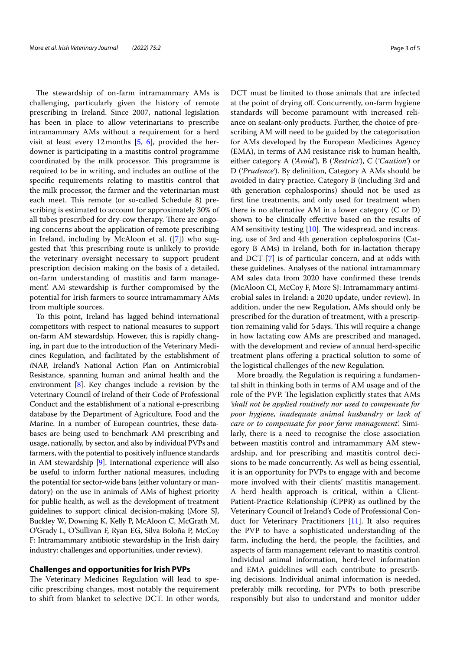The stewardship of on-farm intramammary AMs is challenging, particularly given the history of remote prescribing in Ireland. Since 2007, national legislation has been in place to allow veterinarians to prescribe intramammary AMs without a requirement for a herd visit at least every 12 months  $[5, 6]$ , provided the herdowner is participating in a mastitis control programme coordinated by the milk processor. This programme is required to be in writing, and includes an outline of the specific requirements relating to mastitis control that the milk processor, the farmer and the veterinarian must each meet. This remote (or so-called Schedule 8) prescribing is estimated to account for approximately 30% of all tubes prescribed for dry-cow therapy. There are ongoing concerns about the application of remote prescribing in Ireland, including by McAloon et al. ([7]) who suggested that 'this prescribing route is unlikely to provide the veterinary oversight necessary to support prudent prescription decision making on the basis of a detailed, on-farm understanding of mastitis and farm management'. AM stewardship is further compromised by the potential for Irish farmers to source intramammary AMs from multiple sources.

To this point, Ireland has lagged behind international competitors with respect to national measures to support on-farm AM stewardship. However, this is rapidly changing, in part due to the introduction of the Veterinary Medicines Regulation, and facilitated by the establishment of *i*NAP, Ireland's National Action Plan on Antimicrobial Resistance, spanning human and animal health and the environment [8]. Key changes include a revision by the Veterinary Council of Ireland of their Code of Professional Conduct and the establishment of a national e-prescribing database by the Department of Agriculture, Food and the Marine. In a number of European countries, these databases are being used to benchmark AM prescribing and usage, nationally, by sector, and also by individual PVPs and farmers, with the potential to positively influence standards in AM stewardship [9]. International experience will also be useful to inform further national measures, including the potential for sector-wide bans (either voluntary or mandatory) on the use in animals of AMs of highest priority for public health, as well as the development of treatment guidelines to support clinical decision-making (More SJ, Buckley W, Downing K, Kelly P, McAloon C, McGrath M, O'Grady L, O'Sullivan F, Ryan EG, Silva Boloña P, McCoy F: Intramammary antibiotic stewardship in the Irish dairy industry: challenges and opportunities, under review).

#### **Challenges and opportunities for Irish PVPs**

The Veterinary Medicines Regulation will lead to specific prescribing changes, most notably the requirement to shift from blanket to selective DCT. In other words,

DCT must be limited to those animals that are infected at the point of drying off. Concurrently, on-farm hygiene standards will become paramount with increased reliance on sealant-only products. Further, the choice of prescribing AM will need to be guided by the categorisation for AMs developed by the European Medicines Agency (EMA), in terms of AM resistance risk to human health, either category A (*'Avoid'*), B (*'Restrict'*), C (*'Caution'*) or D (*'Prudence'*). By definition, Category A AMs should be avoided in dairy practice. Category B (including 3rd and 4th generation cephalosporins) should not be used as first line treatments, and only used for treatment when there is no alternative AM in a lower category (C or D) shown to be clinically effective based on the results of AM sensitivity testing [10]. The widespread, and increasing, use of 3rd and 4th generation cephalosporins (Category B AMs) in Ireland, both for in-lactation therapy and DCT [7] is of particular concern, and at odds with these guidelines. Analyses of the national intramammary AM sales data from 2020 have confirmed these trends (McAloon CI, McCoy F, More SJ: Intramammary antimicrobial sales in Ireland: a 2020 update, under review). In addition, under the new Regulation, AMs should only be prescribed for the duration of treatment, with a prescription remaining valid for 5days. This will require a change in how lactating cow AMs are prescribed and managed, with the development and review of annual herd-specific treatment plans offering a practical solution to some of the logistical challenges of the new Regulation.

More broadly, the Regulation is requiring a fundamental shift in thinking both in terms of AM usage and of the role of the PVP. The legislation explicitly states that AMs *'shall not be applied routinely nor used to compensate for poor hygiene, inadequate animal husbandry or lack of care or to compensate for poor farm management'.* Similarly, there is a need to recognise the close association between mastitis control and intramammary AM stewardship, and for prescribing and mastitis control decisions to be made concurrently. As well as being essential, it is an opportunity for PVPs to engage with and become more involved with their clients' mastitis management. A herd health approach is critical, within a Client-Patient-Practice Relationship (CPPR) as outlined by the Veterinary Council of Ireland's Code of Professional Conduct for Veterinary Practitioners [11]. It also requires the PVP to have a sophisticated understanding of the farm, including the herd, the people, the facilities, and aspects of farm management relevant to mastitis control. Individual animal information, herd-level information and EMA guidelines will each contribute to prescribing decisions. Individual animal information is needed, preferably milk recording, for PVPs to both prescribe responsibly but also to understand and monitor udder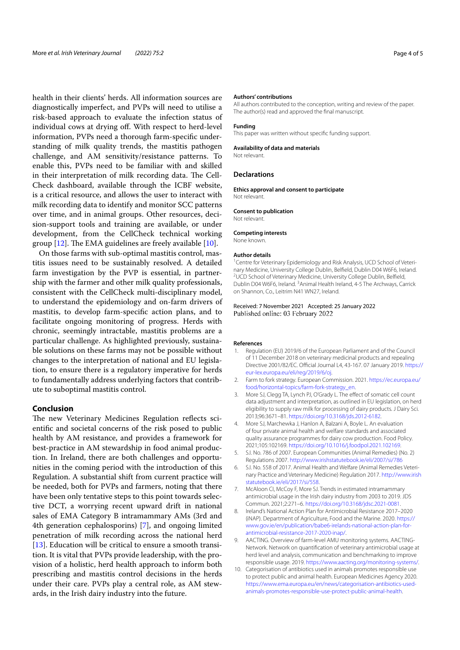health in their clients' herds. All information sources are diagnostically imperfect, and PVPs will need to utilise a risk-based approach to evaluate the infection status of individual cows at drying off. With respect to herd-level information, PVPs need a thorough farm-specific understanding of milk quality trends, the mastitis pathogen challenge, and AM sensitivity/resistance patterns. To enable this, PVPs need to be familiar with and skilled in their interpretation of milk recording data. The Cell-Check dashboard, available through the ICBF website, is a critical resource, and allows the user to interact with milk recording data to identify and monitor SCC patterns over time, and in animal groups. Other resources, decision-support tools and training are available, or under development, from the CellCheck technical working group [12]. The EMA guidelines are freely available [10].

On those farms with sub-optimal mastitis control, mastitis issues need to be sustainably resolved. A detailed farm investigation by the PVP is essential, in partnership with the farmer and other milk quality professionals, consistent with the CellCheck multi-disciplinary model, to understand the epidemiology and on-farm drivers of mastitis, to develop farm-specific action plans, and to facilitate ongoing monitoring of progress. Herds with chronic, seemingly intractable, mastitis problems are a particular challenge. As highlighted previously, sustainable solutions on these farms may not be possible without changes to the interpretation of national and EU legislation, to ensure there is a regulatory imperative for herds to fundamentally address underlying factors that contribute to suboptimal mastitis control.

### **Conclusion**

The new Veterinary Medicines Regulation reflects scientific and societal concerns of the risk posed to public health by AM resistance, and provides a framework for best-practice in AM stewardship in food animal production. In Ireland, there are both challenges and opportunities in the coming period with the introduction of this Regulation. A substantial shift from current practice will be needed, both for PVPs and farmers, noting that there have been only tentative steps to this point towards selective DCT, a worrying recent upward drift in national sales of EMA Category B intramammary AMs (3rd and 4th generation cephalosporins) [7], and ongoing limited penetration of milk recording across the national herd [13]. Education will be critical to ensure a smooth transition. It is vital that PVPs provide leadership, with the provision of a holistic, herd health approach to inform both prescribing and mastitis control decisions in the herds under their care. PVPs play a central role, as AM stewards, in the Irish dairy industry into the future.

#### **Authors' contributions**

All authors contributed to the conception, writing and review of the paper. The author(s) read and approved the final manuscript.

#### **Funding**

This paper was written without specific funding support.

#### **Availability of data and materials**

Not relevant.

#### **Declarations**

**Ethics approval and consent to participate** Not relevant.

**Consent to publication**

Not relevant.

## **Competing interests**

None known.

#### **Author details**

<sup>1</sup> Centre for Veterinary Epidemiology and Risk Analysis, UCD School of Veterinary Medicine, University College Dublin, Belfield, Dublin D04 W6F6, Ireland. 2 <sup>2</sup>UCD School of Veterinary Medicine, University College Dublin, Belfield, Dublin D04 W6F6, Ireland. <sup>3</sup> Animal Health Ireland, 4-5 The Archways, Carrick on Shannon, Co., Leitrim N41 WN27, Ireland.

## Received: 7 November 2021 Accepted: 25 January 2022

#### **References**

- 1. Regulation (EU) 2019/6 of the European Parliament and of the Council of 11 December 2018 on veterinary medicinal products and repealing Directive 2001/82/EC. Official Journal L4, 43-167. 07 January 2019. https:// eur-lex.europa.eu/eli/reg/2019/6/oj.
- 2. Farm to fork strategy. European Commission. 2021. https://ec.europa.eu/ food/horizontal-topics/farm-fork-strategy\_en.
- 3. More SJ, Clegg TA, Lynch PJ, O'Grady L. The effect of somatic cell count data adjustment and interpretation, as outlined in EU legislation, on herd eligibility to supply raw milk for processing of dairy products. J Dairy Sci. 2013;96:3671–81. https://doi.org/10.3168/jds.2012-6182.
- 4. More SJ, Marchewka J, Hanlon A, Balzani A, Boyle L. An evaluation of four private animal health and welfare standards and associated quality assurance programmes for dairy cow production. Food Policy. 2021;105:102169. https://doi.org/10.1016/j.foodpol.2021.102169.
- 5. S.I. No. 786 of 2007. European Communities (Animal Remedies) (No. 2) Regulations 2007. http://www.irishstatutebook.ie/eli/2007/si/786
- 6. S.I. No. 558 of 2017. Animal Health and Welfare (Animal Remedies Veterinary Practice and Veterinary Medicine) Regulation 2017. http://www.irish statutebook.ie/eli/2017/si/558.
- 7. McAloon CI, McCoy F, More SJ. Trends in estimated intramammary antimicrobial usage in the Irish dairy industry from 2003 to 2019. JDS Commun. 2021;2:271–6. https://doi.org/10.3168/jdsc.2021-0081.
- 8. Ireland's National Action Plan for Antimicrobial Resistance 2017–2020 (iNAP). Department of Agriculture, Food and the Marine. 2020. https:// www.gov.ie/en/publication/babe6-irelands-national-action-plan-forantimicrobial-resistance-2017-2020-inap/.
- 9. AACTING. Overview of farm-level AMU monitoring systems. AACTING-Network. Network on quantification of veterinary antimicrobial usage at herd level and analysis, communication and benchmarking to improve responsible usage. 2019. https://www.aacting.org/monitoring-systems/.
- 10. Categorisation of antibiotics used in animals promotes responsible use to protect public and animal health. European Medicines Agency 2020. https://www.ema.europa.eu/en/news/categorisation-antibiotics-usedanimals-promotes-responsible-use-protect-public-animal-health.